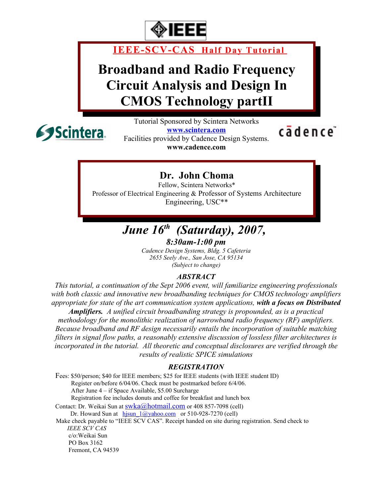

 **IEEE-SCV-CAS Half Day Tutorial**

## **Broadband and Radio Frequency Circuit Analysis and Design In CMOS Technology partII**



Tutorial Sponsored by Scintera Networks **[www.scintera.com](http://www.scintera.com/)** Facilities provided by Cadence Design Systems.

**www.cadence.com**

cādence<sup>®</sup>

**Dr. John Choma**

Fellow, Scintera Networks\* Professor of Electrical Engineering & Professor of Systems Architecture Engineering, USC\*\*

### *June 16th (Saturday), 2007, 8:30am-1:00 pm*

*Cadence Design Systems, Bldg. 5 Cafeteria 2655 Seely Ave., San Jose, CA 95134 (Subject to change)*

#### *ABSTRACT*

*This tutorial, a continuation of the Sept 2006 event, will familiarize engineering professionals with both classic and innovative new broadbanding techniques for CMOS technology amplifiers appropriate for state of the art communication system applications, with a focus on Distributed Amplifiers. A unified circuit broadbanding strategy is propounded, as is a practical methodology for the monolithic realization of narrowband radio frequency (RF) amplifiers. Because broadband and RF design necessarily entails the incorporation of suitable matching filters in signal flow paths, a reasonably extensive discussion of lossless filter architectures is incorporated in the tutorial. All theoretic and conceptual disclosures are verified through the*

*results of realistic SPICE simulations*

#### *REGISTRATION*

Fees: \$50/person; \$40 for IEEE members; \$25 for IEEE students (with IEEE student ID) Register on/before 6/04/06. Check must be postmarked before 6/4/06. After June 4 – if Space Available, \$5.00 Surcharge Registration fee includes donuts and coffee for breakfast and lunch box Contact: Dr. Weikai Sun at  $\frac{\text{swka}(a) \text{hotmail.com}}{\text{contast}}$  or 408 857-7098 (cell) Dr. Howard Sun at  $h$ isun  $1$ @yahoo.com or 510-928-7270 (cell) Make check payable to "IEEE SCV CAS". Receipt handed on site during registration. Send check to  *IEEE SCV CAS* c/o:Weikai Sun PO Box 3162 Fremont, CA 94539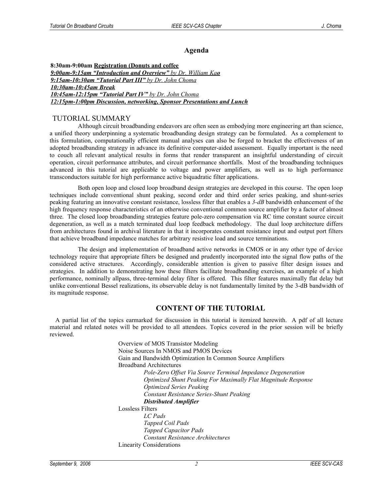#### **Agenda**

**8:30am-9:00am Registration (Donuts and coffee**  *9:00am-9:15am "Introduction and Overview" by Dr. William Ka o 9:15am-10:30am "Tutorial Part III" by Dr. John Choma 10:30am-10:45am Break 10:45am-12:15pm "Tutorial Part IV" by Dr. John Choma 12:15pm-1:00pm Discussion, networking, Sponsor Presentations and Lunch*

#### TUTORIAL SUMMARY

Although circuit broadbanding endeavors are often seen as embodying more engineering art than science, a unified theory underpinning a systematic broadbanding design strategy can be formulated. As a complement to this formulation, computationally efficient manual analyses can also be forged to bracket the effectiveness of an adopted broadbanding strategy in advance its definitive computer-aided assessment. Equally important is the need to couch all relevant analytical results in forms that render transparent an insightful understanding of circuit operation, circuit performance attributes, and circuit performance shortfalls. Most of the broadbanding techniques advanced in this tutorial are applicable to voltage and power amplifiers, as well as to high performance transconductors suitable for high performance active biquadratic filter applications.

Both open loop and closed loop broadband design strategies are developed in this course. The open loop techniques include conventional shunt peaking, second order and third order series peaking, and shunt-series peaking featuring an innovative constant resistance, lossless filter that enables a *3-dB* bandwidth enhancement of the high frequency response characteristics of an otherwise conventional common source amplifier by a factor of almost three. The closed loop broadbanding strategies feature pole-zero compensation via RC time constant source circuit degeneration, as well as a match terminated dual loop feedback methodology. The dual loop architecture differs from architectures found in archival literature in that it incorporates constant resistance input and output port filters that achieve broadband impedance matches for arbitrary resistive load and source terminations.

The design and implementation of broadband active networks in CMOS or in any other type of device technology require that appropriate filters be designed and prudently incorporated into the signal flow paths of the considered active structures. Accordingly, considerable attention is given to passive filter design issues and strategies. In addition to demonstrating how these filters facilitate broadbanding exercises, an example of a high performance, nominally allpass, three-terminal delay filter is offered. This filter features maximally flat delay but unlike conventional Bessel realizations, its observable delay is not fundamentally limited by the 3-dB bandwidth of its magnitude response.

#### **CONTENT OF THE TUTORIAL**

A partial list of the topics earmarked for discussion in this tutorial is itemized herewith. A pdf of all lecture material and related notes will be provided to all attendees. Topics covered in the prior session will be briefly reviewed.

> Overview of MOS Transistor Modeling Noise Sources In NMOS and PMOS Devices Gain and Bandwidth Optimization In Common Source Amplifiers Broadband Architectures *Pole-Zero Offset Via Source Terminal Impedance Degeneration Optimized Shunt Peaking For Maximally Flat Magnitude Response Optimized Series Peaking Constant Resistance Series-Shunt Peaking Distributed Amplifier* Lossless Filters *LC Pads Tapped Coil Pads Tapped Capacitor Pads Constant Resistance Architectures* Linearity Considerations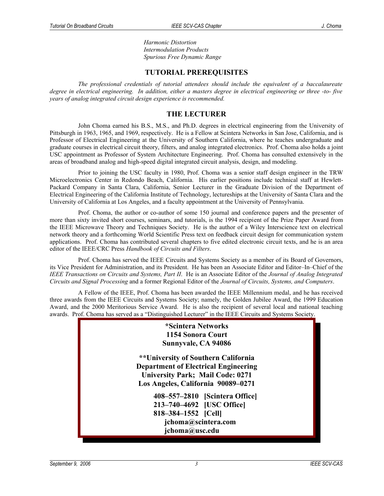*Harmonic Distortion Intermodulation Products Spurious Free Dynamic Range*

#### **TUTORIAL PREREQUISITES**

*The professional credentials of tutorial attendees should include the equivalent of a baccalaureate* degree in electrical engineering. In addition, either a masters degree in electrical engineering or three -to-five *years of analog integrated circuit design experience is recommended.*

#### **THE LECTURER**

John Choma earned his B.S., M.S., and Ph.D. degrees in electrical engineering from the University of Pittsburgh in 1963, 1965, and 1969, respectively. He is a Fellow at Scintera Networks in San Jose, California, and is Professor of Electrical Engineering at the University of Southern California, where he teaches undergraduate and graduate courses in electrical circuit theory, filters, and analog integrated electronics. Prof. Choma also holds a joint USC appointment as Professor of System Architecture Engineering. Prof. Choma has consulted extensively in the areas of broadband analog and high-speed digital integrated circuit analysis, design, and modeling.

Prior to joining the USC faculty in 1980, Prof. Choma was a senior staff design engineer in the TRW Microelectronics Center in Redondo Beach, California. His earlier positions include technical staff at Hewlett-Packard Company in Santa Clara, California, Senior Lecturer in the Graduate Division of the Department of Electrical Engineering of the California Institute of Technology, lectureships at the University of Santa Clara and the University of California at Los Angeles, and a faculty appointment at the University of Pennsylvania.

Prof. Choma, the author or co-author of some 150 journal and conference papers and the presenter of more than sixty invited short courses, seminars, and tutorials, is the 1994 recipient of the Prize Paper Award from the IEEE Microwave Theory and Techniques Society. He is the author of a Wiley Interscience text on electrical network theory and a forthcoming World Scientific Press text on feedback circuit design for communication system applications. Prof. Choma has contributed several chapters to five edited electronic circuit texts, and he is an area editor of the IEEE/CRC Press *Handbook of Circuits and Filters*.

Prof. Choma has served the IEEE Circuits and Systems Society as a member of its Board of Governors, its Vice President for Administration, and its President. He has been an Associate Editor and Editor–In–Chief of the *IEEE Transactions on Circuits and Systems, Part II*. He is an Associate Editor of the *Journal of Analog Integrated Circuits and Signal Processing* and a former Regional Editor of the *Journal of Circuits, Systems, and Computers*.

A Fellow of the IEEE, Prof. Choma has been awarded the IEEE Millennium medal, and he has received three awards from the IEEE Circuits and Systems Society; namely, the Golden Jubilee Award, the 1999 Education Award, and the 2000 Meritorious Service Award. He is also the recipient of several local and national teaching awards. Prof. Choma has served as a "Distinguished Lecturer" in the IEEE Circuits and Systems Society.